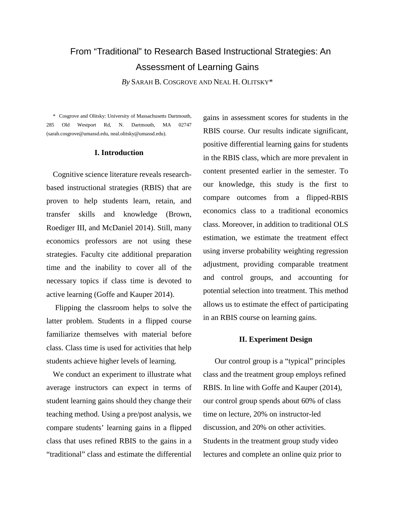# From "Traditional" to Research Based Instructional Strategies: An Assessment of Learning Gains

*By* SARAH B. COSGROVE AND NEAL H. OLITSKY\*

\* Cosgrove and Olitsky: University of Massachusetts Dartmouth, 285 Old Westport Rd, N. Dartmouth, MA 02747 (sarah.cosgrove@umassd.edu, neal.olitsky@umassd.edu).

## **I. Introduction**

Cognitive science literature reveals researchbased instructional strategies (RBIS) that are proven to help students learn, retain, and transfer skills and knowledge (Brown, Roediger III, and McDaniel 2014). Still, many economics professors are not using these strategies. Faculty cite additional preparation time and the inability to cover all of the necessary topics if class time is devoted to active learning (Goffe and Kauper 2014).

Flipping the classroom helps to solve the latter problem. Students in a flipped course familiarize themselves with material before class. Class time is used for activities that help students achieve higher levels of learning.

We conduct an experiment to illustrate what average instructors can expect in terms of student learning gains should they change their teaching method. Using a pre/post analysis, we compare students' learning gains in a flipped class that uses refined RBIS to the gains in a "traditional" class and estimate the differential gains in assessment scores for students in the RBIS course. Our results indicate significant, positive differential learning gains for students in the RBIS class, which are more prevalent in content presented earlier in the semester. To our knowledge, this study is the first to compare outcomes from a flipped-RBIS economics class to a traditional economics class. Moreover, in addition to traditional OLS estimation, we estimate the treatment effect using inverse probability weighting regression adjustment, providing comparable treatment and control groups, and accounting for potential selection into treatment. This method allows us to estimate the effect of participating in an RBIS course on learning gains.

# **II. Experiment Design**

Our control group is a "typical" principles class and the treatment group employs refined RBIS. In line with Goffe and Kauper (2014), our control group spends about 60% of class time on lecture, 20% on instructor-led discussion, and 20% on other activities. Students in the treatment group study video lectures and complete an online quiz prior to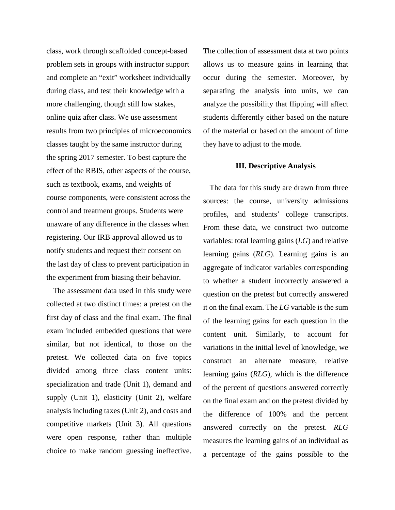class, work through scaffolded concept-based problem sets in groups with instructor support and complete an "exit" worksheet individually during class, and test their knowledge with a more challenging, though still low stakes, online quiz after class. We use assessment results from two principles of microeconomics classes taught by the same instructor during the spring 2017 semester. To best capture the effect of the RBIS, other aspects of the course, such as textbook, exams, and weights of course components, were consistent across the control and treatment groups. Students were unaware of any difference in the classes when registering. Our IRB approval allowed us to notify students and request their consent on the last day of class to prevent participation in the experiment from biasing their behavior.

The assessment data used in this study were collected at two distinct times: a pretest on the first day of class and the final exam. The final exam included embedded questions that were similar, but not identical, to those on the pretest. We collected data on five topics divided among three class content units: specialization and trade (Unit 1), demand and supply (Unit 1), elasticity (Unit 2), welfare analysis including taxes (Unit 2), and costs and competitive markets (Unit 3). All questions were open response, rather than multiple choice to make random guessing ineffective.

The collection of assessment data at two points allows us to measure gains in learning that occur during the semester. Moreover, by separating the analysis into units, we can analyze the possibility that flipping will affect students differently either based on the nature of the material or based on the amount of time they have to adjust to the mode.

# **III. Descriptive Analysis**

The data for this study are drawn from three sources: the course, university admissions profiles, and students' college transcripts. From these data, we construct two outcome variables: total learning gains (*LG*) and relative learning gains (*RLG*). Learning gains is an aggregate of indicator variables corresponding to whether a student incorrectly answered a question on the pretest but correctly answered it on the final exam. The *LG* variable is the sum of the learning gains for each question in the content unit. Similarly, to account for variations in the initial level of knowledge, we construct an alternate measure, relative learning gains (*RLG*), which is the difference of the percent of questions answered correctly on the final exam and on the pretest divided by the difference of 100% and the percent answered correctly on the pretest. *RLG*  measures the learning gains of an individual as a percentage of the gains possible to the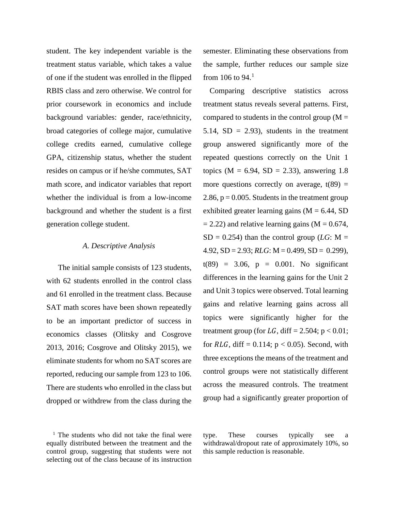student. The key independent variable is the treatment status variable, which takes a value of one if the student was enrolled in the flipped RBIS class and zero otherwise. We control for prior coursework in economics and include background variables: gender, race/ethnicity, broad categories of college major, cumulative college credits earned, cumulative college GPA, citizenship status, whether the student resides on campus or if he/she commutes, SAT math score, and indicator variables that report whether the individual is from a low-income background and whether the student is a first generation college student.

#### *A. Descriptive Analysis*

The initial sample consists of 123 students, with 62 students enrolled in the control class and 61 enrolled in the treatment class. Because SAT math scores have been shown repeatedly to be an important predictor of success in economics classes (Olitsky and Cosgrove 2013, 2016; Cosgrove and Olitsky 2015), we eliminate students for whom no SAT scores are reported, reducing our sample from 123 to 106. There are students who enrolled in the class but dropped or withdrew from the class during the

<span id="page-2-0"></span> $1$  The students who did not take the final were equally distributed between the treatment and the control group, suggesting that students were not selecting out of the class because of its instruction

semester. Eliminating these observations from the sample, further reduces our sample size from [1](#page-2-0)06 to 94. $^1$ 

Comparing descriptive statistics across treatment status reveals several patterns. First, compared to students in the control group  $(M =$ 5.14,  $SD = 2.93$ , students in the treatment group answered significantly more of the repeated questions correctly on the Unit 1 topics ( $M = 6.94$ ,  $SD = 2.33$ ), answering 1.8 more questions correctly on average,  $t(89) =$ 2.86,  $p = 0.005$ . Students in the treatment group exhibited greater learning gains  $(M = 6.44, SD)$  $= 2.22$ ) and relative learning gains (M = 0.674,  $SD = 0.254$ ) than the control group (*LG*: M =  $4.92$ ,  $SD = 2.93$ ;  $RLG$ :  $M = 0.499$ ,  $SD = 0.299$ ),  $t(89) = 3.06$ ,  $p = 0.001$ . No significant differences in the learning gains for the Unit 2 and Unit 3 topics were observed. Total learning gains and relative learning gains across all topics were significantly higher for the treatment group (for  $LG$ , diff = 2.504; p < 0.01; for  $RLG$ , diff = 0.114;  $p < 0.05$ ). Second, with three exceptions the means of the treatment and control groups were not statistically different across the measured controls. The treatment group had a significantly greater proportion of

type. These courses typically see a withdrawal/dropout rate of approximately 10%, so this sample reduction is reasonable.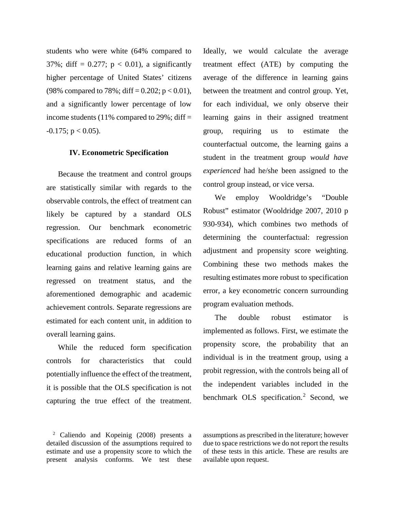students who were white (64% compared to 37%; diff =  $0.277$ ; p < 0.01), a significantly higher percentage of United States' citizens (98% compared to 78%; diff =  $0.202$ ; p < 0.01), and a significantly lower percentage of low income students (11% compared to 29%; diff  $=$  $-0.175$ ; p < 0.05).

## **IV. Econometric Specification**

Because the treatment and control groups are statistically similar with regards to the observable controls, the effect of treatment can likely be captured by a standard OLS regression. Our benchmark econometric specifications are reduced forms of an educational production function, in which learning gains and relative learning gains are regressed on treatment status, and the aforementioned demographic and academic achievement controls. Separate regressions are estimated for each content unit, in addition to overall learning gains.

While the reduced form specification controls for characteristics that could potentially influence the effect of the treatment, it is possible that the OLS specification is not capturing the true effect of the treatment. Ideally, we would calculate the average treatment effect (ATE) by computing the average of the difference in learning gains between the treatment and control group. Yet, for each individual, we only observe their learning gains in their assigned treatment group, requiring us to estimate the counterfactual outcome, the learning gains a student in the treatment group *would have experienced* had he/she been assigned to the control group instead, or vice versa.

We employ Wooldridge's "Double Robust" estimator (Wooldridge 2007, 2010 p 930-934), which combines two methods of determining the counterfactual: regression adjustment and propensity score weighting. Combining these two methods makes the resulting estimates more robust to specification error, a key econometric concern surrounding program evaluation methods.

The double robust estimator is implemented as follows. First, we estimate the propensity score, the probability that an individual is in the treatment group, using a probit regression, with the controls being all of the independent variables included in the benchmark OLS specification. [2](#page-3-0) Second, we

<span id="page-3-0"></span><sup>2</sup> Caliendo and Kopeinig (2008) presents a detailed discussion of the assumptions required to estimate and use a propensity score to which the present analysis conforms. We test these assumptions as prescribed in the literature; however due to space restrictions we do not report the results of these tests in this article. These are results are available upon request.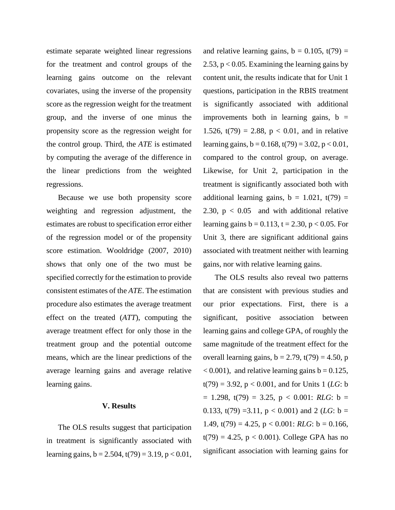estimate separate weighted linear regressions for the treatment and control groups of the learning gains outcome on the relevant covariates, using the inverse of the propensity score as the regression weight for the treatment group, and the inverse of one minus the propensity score as the regression weight for the control group. Third, the *ATE* is estimated by computing the average of the difference in the linear predictions from the weighted regressions.

Because we use both propensity score weighting and regression adjustment, the estimates are robust to specification error either of the regression model or of the propensity score estimation. Wooldridge (2007, 2010) shows that only one of the two must be specified correctly for the estimation to provide consistent estimates of the *ATE*. The estimation procedure also estimates the average treatment effect on the treated (*ATT*), computing the average treatment effect for only those in the treatment group and the potential outcome means, which are the linear predictions of the average learning gains and average relative learning gains.

# **V. Results**

The OLS results suggest that participation in treatment is significantly associated with learning gains,  $b = 2.504$ ,  $t(79) = 3.19$ ,  $p < 0.01$ ,

and relative learning gains,  $b = 0.105$ ,  $t(79) =$ 2.53,  $p < 0.05$ . Examining the learning gains by content unit, the results indicate that for Unit 1 questions, participation in the RBIS treatment is significantly associated with additional improvements both in learning gains,  $b =$ 1.526,  $t(79) = 2.88$ ,  $p < 0.01$ , and in relative learning gains,  $b = 0.168$ ,  $t(79) = 3.02$ ,  $p < 0.01$ , compared to the control group, on average. Likewise, for Unit 2, participation in the treatment is significantly associated both with additional learning gains,  $b = 1.021$ ,  $t(79) =$ 2.30,  $p < 0.05$  and with additional relative learning gains  $b = 0.113$ ,  $t = 2.30$ ,  $p < 0.05$ . For Unit 3, there are significant additional gains associated with treatment neither with learning gains, nor with relative learning gains.

The OLS results also reveal two patterns that are consistent with previous studies and our prior expectations. First, there is a significant, positive association between learning gains and college GPA, of roughly the same magnitude of the treatment effect for the overall learning gains,  $b = 2.79$ ,  $t(79) = 4.50$ , p  $(0.001)$ , and relative learning gains  $b = 0.125$ ,  $t(79) = 3.92$ ,  $p < 0.001$ , and for Units 1 (*LG*: b  $= 1.298$ ,  $t(79) = 3.25$ ,  $p < 0.001$ : *RLG*:  $b =$ 0.133,  $t(79) = 3.11$ ,  $p < 0.001$ ) and 2 (*LG*:  $b =$ 1.49,  $t(79) = 4.25$ ,  $p < 0.001$ : *RLG*:  $b = 0.166$ ,  $t(79) = 4.25$ ,  $p < 0.001$ ). College GPA has no significant association with learning gains for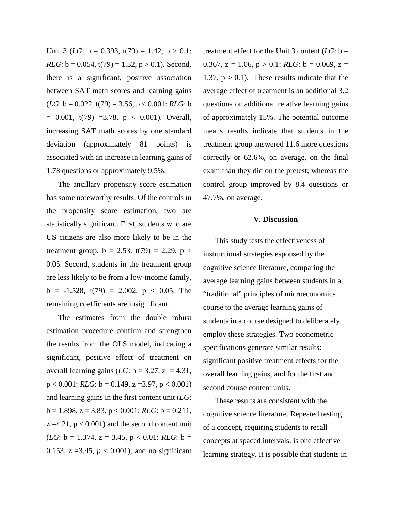Unit 3 (*LG*:  $b = 0.393$ ,  $t(79) = 1.42$ ,  $p > 0.1$ : *RLG*:  $b = 0.054$ ,  $t(79) = 1.32$ ,  $p > 0.1$ ). Second, there is a significant, positive association between SAT math scores and learning gains  $(LG: b = 0.022, t(79) = 3.56, p < 0.001: RLG: b$  $= 0.001$ , t(79)  $= 3.78$ , p < 0.001). Overall, increasing SAT math scores by one standard deviation (approximately 81 points) is associated with an increase in learning gains of 1.78 questions or approximately 9.5%.

The ancillary propensity score estimation has some noteworthy results. Of the controls in the propensity score estimation, two are statistically significant. First, students who are US citizens are also more likely to be in the treatment group,  $b = 2.53$ ,  $t(79) = 2.29$ ,  $p <$ 0.05. Second, students in the treatment group are less likely to be from a low-income family,  $b = -1.528$ ,  $t(79) = 2.002$ ,  $p < 0.05$ . The remaining coefficients are insignificant.

The estimates from the double robust estimation procedure confirm and strengthen the results from the OLS model, indicating a significant, positive effect of treatment on overall learning gains  $(LG: b = 3.27, z = 4.31,$  $p < 0.001$ : *RLG*:  $b = 0.149$ ,  $z = 3.97$ ,  $p < 0.001$ ) and learning gains in the first content unit (*LG*:  $b = 1.898$ ,  $z = 3.83$ ,  $p < 0.001$ : *RLG*:  $b = 0.211$ ,  $z = 4.21$ ,  $p < 0.001$ ) and the second content unit  $(LG: b = 1.374, z = 3.45, p < 0.01: RLG: b =$ 0.153,  $z = 3.45$ ,  $p < 0.001$ ), and no significant

treatment effect for the Unit 3 content  $(LG: b =$ 0.367,  $z = 1.06$ ,  $p > 0.1$ : *RLG*:  $b = 0.069$ ,  $z =$ 1.37,  $p > 0.1$ ). These results indicate that the average effect of treatment is an additional 3.2 questions or additional relative learning gains of approximately 15%. The potential outcome means results indicate that students in the treatment group answered 11.6 more questions correctly or 62.6%, on average, on the final exam than they did on the pretest; whereas the control group improved by 8.4 questions or 47.7%, on average.

## **V. Discussion**

This study tests the effectiveness of instructional strategies espoused by the cognitive science literature, comparing the average learning gains between students in a "traditional" principles of microeconomics course to the average learning gains of students in a course designed to deliberately employ these strategies. Two econometric specifications generate similar results: significant positive treatment effects for the overall learning gains, and for the first and second course content units.

These results are consistent with the cognitive science literature. Repeated testing of a concept, requiring students to recall concepts at spaced intervals, is one effective learning strategy. It is possible that students in